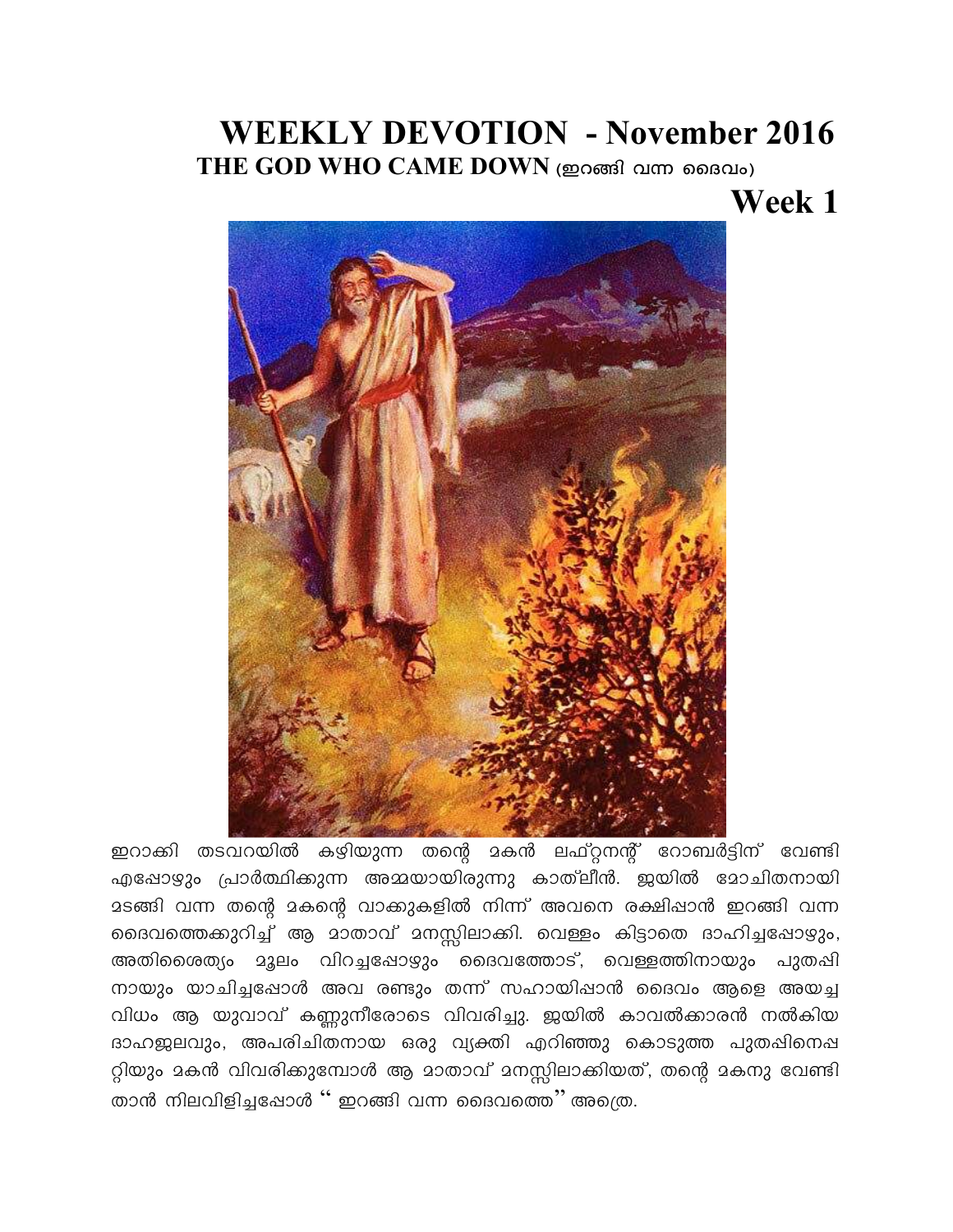## **WEEKLY DEVOTION - November 2016**

THE GOD WHO CAME DOWN (ഇറങ്ങി വന്ന ദൈവം)

## Week 1



ഇറാക്കി തടവറയിൽ കഴിയുന്ന തന്റെ മകൻ ലഫ്റ്റനന്റ് റോബർട്ടിന് വേണ്ടി എഷോഴും പ്രാർത്ഥിക്കുന്ന അമ്മയായിരുന്നു കാത്ലീൻ. ജയിൽ മോചിതനായി മടങ്ങി വന്ന തന്റെ മകന്റെ വാക്കുകളിൽ നിന്ന് അവനെ രക്ഷിഷാൻ ഇറങ്ങി വന്ന ദൈവത്തെക്കുറിച്ച് ആ മാതാവ് മനസ്സിലാക്കി. വെള്ളം കിട്ടാതെ ദാഹിച്ചപ്പോഴും, അതിശൈത്യം മൂലം വിറച്ചപ്പോഴും ദൈവത്തോട്, വെള്ളത്തിനായും പുതപ്പി നായും യാചിച്ചപ്പോൾ അവ രണ്ടും തന്ന് സഹായിപ്പാൻ ദൈവം ആളെ അയച്ച വിധം ആ യുവാവ് കണ്ണുനീരോടെ വിവരിച്ചു. ജയിൽ കാവൽക്കാരൻ നൽകിയ ദാഹജലവും, അപരിചിതനായ ഒരു വ്യക്തി എറിഞ്ഞു കൊടുത്ത പുതഷിനെഷ റ്റിയും മകൻ വിവരിക്കുമ്പോൾ ആ മാതാവ് മനസ്സിലാക്കിയത്, തന്റെ മകനു വേണ്ടി താൻ നിലവിളിച്ചപ്പോൾ '' ഇറങ്ങി വന്ന ദൈവത്തെ'' അത്രെ.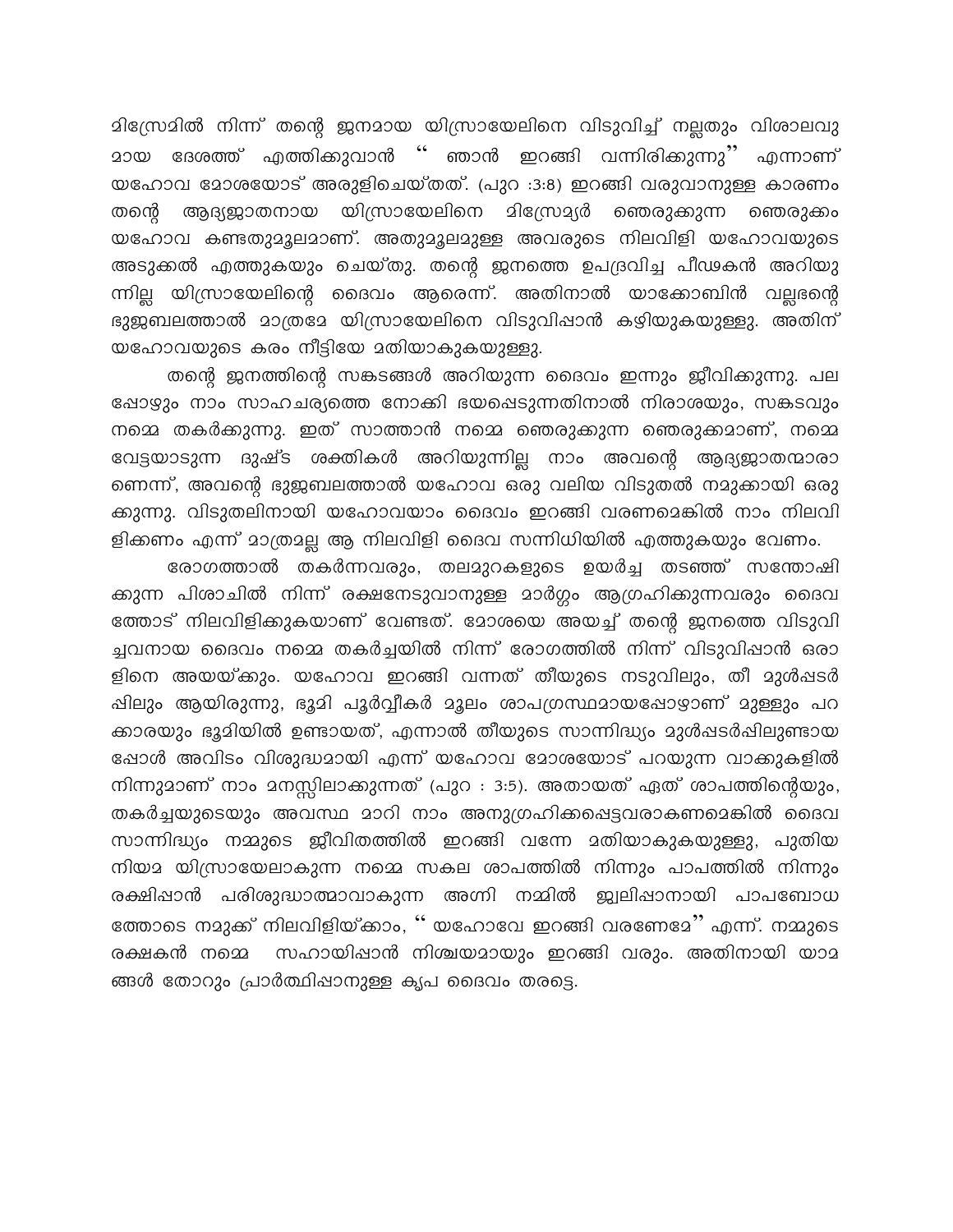മിസ്രോമിൽ നിന്ന് തന്റെ ജനമായ യിസ്രായേലിനെ വിടുവിച്ച് നല്ലതും വിശാലവു <u> മായ ദേശത്ത് എത്തിക്കുവാൻ '' ഞാൻ ഇറങ്ങി വന്നിരിക്കുന്നു'' എന്നാണ്</u> യഹോവ മോശയോട് അരുളിചെയ്തത്. (പുറ :3:8) ഇറങ്ങി വരുവാനുള്ള കാരണം തന്റെ ആദ്യജാതനായ യിസ്രായേലിനെ മിസ്രോദ്യർ ഞെരുക്കുന്ന ഞെരുക്കം യഹോവ കണ്ടതുമൂലമാണ്. അതുമൂലമുള്ള അവരുടെ നിലവിളി യഹോവയുടെ അടുക്കൽ എത്തുകയും ചെയ്തു. തന്റെ ഇനത്തെ ഉപദ്രവിച്ച പീഢകൻ അറിയു ന്നില്ല യിസ്രായേലിന്റെ ദൈവം ആരെന്ന്. അതിനാൽ യാക്കോബിൻ വല്ലന്റൈ ഭുജബലത്താൽ മാത്രമേ യിസ്രായേലിനെ വിടുവിഷാൻ കഴിയുകയുള്ളു. അതിന് യഹോവയുടെ കരം നീട്ടിയേ മതിയാകുകയുള്ളു.

തന്റെ ഇനത്തിന്റെ സങ്കടങ്ങൾ അറിയുന്ന ദൈവം ഇന്നും ഇീവിക്കുന്നു. പല ഷോഴ്യും നാം സാഹചര്യത്തെ നോക്കി ഭയപ്പെടുന്നതിനാൽ നിരാശയും, സങ്കടവും നമ്മെ തകർക്കുന്നു. ഇത് സാത്താൻ നമ്മെ ഞെരുക്കുന്ന ഞെരുക്കമാണ്, നമ്മെ വേട്ടയാടുന്ന ദുഷ്ട ശക്തികൾ അറിയുന്നില്ല നാം അവന്റെ ആദ്യജാതന്മാരാ ണെന്ന്, അവന്റെ ഭുജബലത്താൽ യഹോവ ഒരു വലിയ വിടുതൽ നമുക്കായി ഒരു ക്കുന്നു. വിടുതലിനായി യഹോവയാം ദൈവം ഇറങ്ങി വരണമെങ്കിൽ നാം നിലവി ളിക്കണം എന്ന് മാത്രമല്ല ആ നിലവിളി ദൈവ സന്നിധിയിൽ എത്തുകയും വേണം.

രോഗത്താൽ തകർന്നവരും, തലമുറകളുടെ ഉയർച്ച തടഞ്ഞ് സന്തോഷി ക്കുന്ന പിശാചിൽ നിന്ന് രക്ഷനേടുവാനുള്ള മാർഗ്ഗം ആഗ്രഹിക്കുന്നവരും ദൈവ ത്തോട് നിലവിളിക്കുകയാണ് വേണ്ടത്. മോശയെ അയച്ച് തന്റെ ജനത്തെ വിടുവി ച്ചവനായ ദൈവം നമ്മെ തകർച്ചയിൽ നിന്ന് രോഗത്തിൽ നിന്ന് വിടുവിഷാൻ ഒരാ ളിനെ അയയ്ക്കും. യഹോവ ഇറങ്ങി വന്നത് തീയുടെ നടുവിലും, തീ മുൾഷടർ ഷിലും ആയിരുന്നു, ഭൂമി പൂർവ്വീകർ മൂലം ശാപഗ്രസ്ഥമായഷോഴാണ് മുള്ളും പറ ക്കാരയും ഭൂമിയിൽ ഉണ്ടായത്, എന്നാൽ തീയുടെ സാന്നിദ്ധ്യം മുൾഷടർഷിലുണ്ടായ ഷോൾ അവിടം വിശുദ്ധമായി എന്ന് യഹോവ മോശയോട് പറയുന്ന വാക്കുകളിൽ നിന്നുമാണ് നാം മനസ്സിലാക്കുന്നത് (പുറ : 3:5). അതായത് ഏത് ശാപത്തിന്റെയും, തകർച്ചയുടെയും അവസ്ഥ മാറി നാം അനുഗ്രഹിക്കപ്പെട്ടവരാകണമെങ്കിൽ ദൈവ സാന്നിദ്ധ്യം നമ്മുടെ ജീവിതത്തിൽ ഇറങ്ങി വന്നേ മതിയാകുകയുള്ളു, പുതിയ നിയമ യിസ്രായേലാകുന്ന നമ്മെ സകല ശാപത്തിൽ നിന്നും പാപത്തിൽ നിന്നും രക്ഷിഷാൻ പരിശുദ്ധാത്മാവാകുന്ന അഗ്നി നമ്മിൽ ജ്വലിഷാനായി പാപബോധ ത്തോടെ നമുക്ക് നിലവിളിയ്ക്കാം, '' യഹോവേ ഇറങ്ങി വരണേമേ'' എന്ന്. നമ്മുടെ രക്ഷകൻ നമ്മെ സഹായിഷാൻ നിശ്ചയമായും ഇറങ്ങി വരും. അതിനായി യാമ ങ്ങൾ തോറും പ്രാർത്ഥിഷാനുള്ള കൃപ ദൈവം തരട്ടെ.